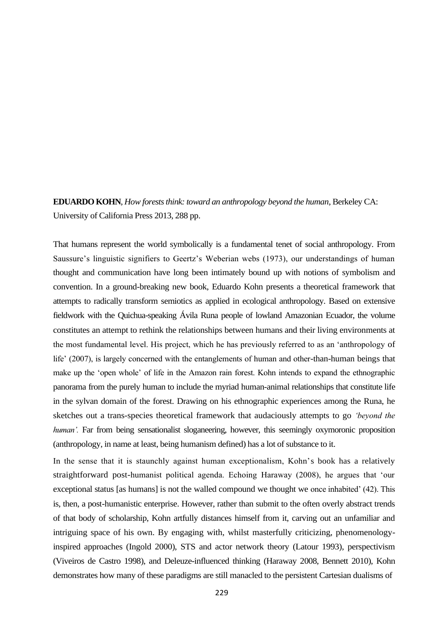**EDUARDO KOHN**, *How forests think: toward an anthropology beyond the human*, Berkeley CA: University of California Press 2013, 288 pp.

That humans represent the world symbolically is a fundamental tenet of social anthropology. From Saussure's linguistic signifiers to Geertz's Weberian webs (1973), our understandings of human thought and communication have long been intimately bound up with notions of symbolism and convention. In a ground-breaking new book, Eduardo Kohn presents a theoretical framework that attempts to radically transform semiotics as applied in ecological anthropology. Based on extensive fieldwork with the Quichua-speaking Ávila Runa people of lowland Amazonian Ecuador, the volume constitutes an attempt to rethink the relationships between humans and their living environments at the most fundamental level. His project, which he has previously referred to as an 'anthropology of life' (2007), is largely concerned with the entanglements of human and other-than-human beings that make up the 'open whole' of life in the Amazon rain forest. Kohn intends to expand the ethnographic panorama from the purely human to include the myriad human-animal relationships that constitute life in the sylvan domain of the forest. Drawing on his ethnographic experiences among the Runa, he sketches out a trans-species theoretical framework that audaciously attempts to go *'beyond the human'*. Far from being sensationalist sloganeering, however, this seemingly oxymoronic proposition (anthropology, in name at least, being humanism defined) has a lot of substance to it.

In the sense that it is staunchly against human exceptionalism, Kohn's book has a relatively straightforward post-humanist political agenda. Echoing Haraway (2008), he argues that 'our exceptional status [as humans] is not the walled compound we thought we once inhabited' (42). This is, then, a post-humanistic enterprise. However, rather than submit to the often overly abstract trends of that body of scholarship, Kohn artfully distances himself from it, carving out an unfamiliar and intriguing space of his own. By engaging with, whilst masterfully criticizing, phenomenologyinspired approaches (Ingold 2000), STS and actor network theory (Latour 1993), perspectivism (Viveiros de Castro 1998), and Deleuze-influenced thinking (Haraway 2008, Bennett 2010), Kohn demonstrates how many of these paradigms are still manacled to the persistent Cartesian dualisms of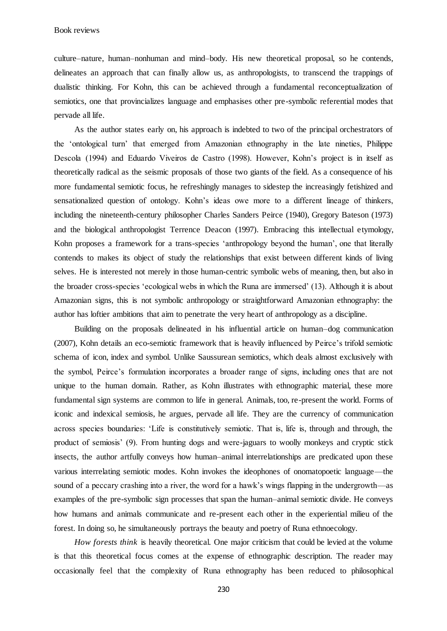Book reviews

culture–nature, human–nonhuman and mind–body. His new theoretical proposal, so he contends, delineates an approach that can finally allow us, as anthropologists, to transcend the trappings of dualistic thinking. For Kohn, this can be achieved through a fundamental reconceptualization of semiotics, one that provincializes language and emphasises other pre-symbolic referential modes that pervade all life.

As the author states early on, his approach is indebted to two of the principal orchestrators of the 'ontological turn' that emerged from Amazonian ethnography in the late nineties, Philippe Descola (1994) and Eduardo Viveiros de Castro (1998). However, Kohn's project is in itself as theoretically radical as the seismic proposals of those two giants of the field. As a consequence of his more fundamental semiotic focus, he refreshingly manages to sidestep the increasingly fetishized and sensationalized question of ontology. Kohn's ideas owe more to a different lineage of thinkers, including the nineteenth-century philosopher Charles Sanders Peirce (1940), Gregory Bateson (1973) and the biological anthropologist Terrence Deacon (1997). Embracing this intellectual etymology, Kohn proposes a framework for a trans-species 'anthropology beyond the human', one that literally contends to makes its object of study the relationships that exist between different kinds of living selves. He is interested not merely in those human-centric symbolic webs of meaning, then, but also in the broader cross-species 'ecological webs in which the Runa are immersed' (13). Although it is about Amazonian signs, this is not symbolic anthropology or straightforward Amazonian ethnography: the author has loftier ambitions that aim to penetrate the very heart of anthropology as a discipline.

Building on the proposals delineated in his influential article on human–dog communication (2007), Kohn details an eco-semiotic framework that is heavily influenced by Peirce's trifold semiotic schema of icon, index and symbol. Unlike Saussurean semiotics, which deals almost exclusively with the symbol, Peirce's formulation incorporates a broader range of signs, including ones that are not unique to the human domain. Rather, as Kohn illustrates with ethnographic material, these more fundamental sign systems are common to life in general. Animals, too, re-present the world. Forms of iconic and indexical semiosis, he argues, pervade all life. They are the currency of communication across species boundaries: 'Life is constitutively semiotic. That is, life is, through and through, the product of semiosis' (9). From hunting dogs and were-jaguars to woolly monkeys and cryptic stick insects, the author artfully conveys how human–animal interrelationships are predicated upon these various interrelating semiotic modes. Kohn invokes the ideophones of onomatopoetic language—the sound of a peccary crashing into a river, the word for a hawk's wings flapping in the undergrowth—as examples of the pre-symbolic sign processes that span the human–animal semiotic divide. He conveys how humans and animals communicate and re-present each other in the experiential milieu of the forest. In doing so, he simultaneously portrays the beauty and poetry of Runa ethnoecology.

*How forests think* is heavily theoretical. One major criticism that could be levied at the volume is that this theoretical focus comes at the expense of ethnographic description. The reader may occasionally feel that the complexity of Runa ethnography has been reduced to philosophical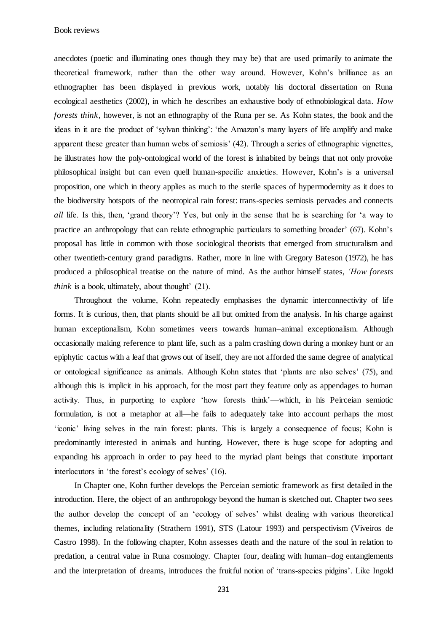Book reviews

anecdotes (poetic and illuminating ones though they may be) that are used primarily to animate the theoretical framework, rather than the other way around. However, Kohn's brilliance as an ethnographer has been displayed in previous work, notably his doctoral dissertation on Runa ecological aesthetics (2002), in which he describes an exhaustive body of ethnobiological data. *How forests think*, however, is not an ethnography of the Runa per se. As Kohn states, the book and the ideas in it are the product of 'sylvan thinking': 'the Amazon's many layers of life amplify and make apparent these greater than human webs of semiosis' (42). Through a series of ethnographic vignettes, he illustrates how the poly-ontological world of the forest is inhabited by beings that not only provoke philosophical insight but can even quell human-specific anxieties. However, Kohn's is a universal proposition, one which in theory applies as much to the sterile spaces of hypermodernity as it does to the biodiversity hotspots of the neotropical rain forest: trans-species semiosis pervades and connects *all* life. Is this, then, 'grand theory'? Yes, but only in the sense that he is searching for 'a way to practice an anthropology that can relate ethnographic particulars to something broader' (67). Kohn's proposal has little in common with those sociological theorists that emerged from structuralism and other twentieth-century grand paradigms. Rather, more in line with Gregory Bateson (1972), he has produced a philosophical treatise on the nature of mind. As the author himself states, *'How forests think* is a book, ultimately, about thought' (21).

Throughout the volume, Kohn repeatedly emphasises the dynamic interconnectivity of life forms. It is curious, then, that plants should be all but omitted from the analysis. In his charge against human exceptionalism, Kohn sometimes veers towards human–animal exceptionalism. Although occasionally making reference to plant life, such as a palm crashing down during a monkey hunt or an epiphytic cactus with a leaf that grows out of itself, they are not afforded the same degree of analytical or ontological significance as animals. Although Kohn states that 'plants are also selves' (75), and although this is implicit in his approach, for the most part they feature only as appendages to human activity. Thus, in purporting to explore 'how forests think'—which, in his Peirceian semiotic formulation, is not a metaphor at all—he fails to adequately take into account perhaps the most 'iconic' living selves in the rain forest: plants. This is largely a consequence of focus; Kohn is predominantly interested in animals and hunting. However, there is huge scope for adopting and expanding his approach in order to pay heed to the myriad plant beings that constitute important interlocutors in 'the forest's ecology of selves' (16).

In Chapter one, Kohn further develops the Perceian semiotic framework as first detailed in the introduction. Here, the object of an anthropology beyond the human is sketched out. Chapter two sees the author develop the concept of an 'ecology of selves' whilst dealing with various theoretical themes, including relationality (Strathern 1991), STS (Latour 1993) and perspectivism (Viveiros de Castro 1998). In the following chapter, Kohn assesses death and the nature of the soul in relation to predation, a central value in Runa cosmology. Chapter four, dealing with human–dog entanglements and the interpretation of dreams, introduces the fruitful notion of 'trans-species pidgins'. Like Ingold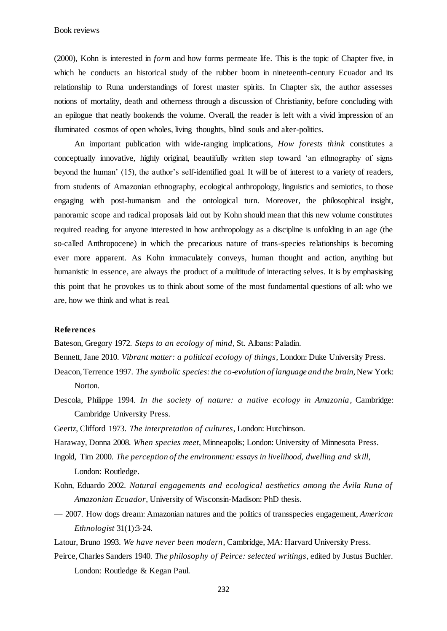(2000), Kohn is interested in *form* and how forms permeate life*.* This is the topic of Chapter five, in which he conducts an historical study of the rubber boom in nineteenth-century Ecuador and its relationship to Runa understandings of forest master spirits. In Chapter six, the author assesses notions of mortality, death and otherness through a discussion of Christianity, before concluding with an epilogue that neatly bookends the volume. Overall, the reader is left with a vivid impression of an illuminated cosmos of open wholes, living thoughts, blind souls and alter-politics.

An important publication with wide-ranging implications, *How forests think* constitutes a conceptually innovative, highly original, beautifully written step toward 'an ethnography of signs beyond the human' (15), the author's self-identified goal. It will be of interest to a variety of readers, from students of Amazonian ethnography, ecological anthropology, linguistics and semiotics, to those engaging with post-humanism and the ontological turn. Moreover, the philosophical insight, panoramic scope and radical proposals laid out by Kohn should mean that this new volume constitutes required reading for anyone interested in how anthropology as a discipline is unfolding in an age (the so-called Anthropocene) in which the precarious nature of trans-species relationships is becoming ever more apparent. As Kohn immaculately conveys, human thought and action, anything but humanistic in essence, are always the product of a multitude of interacting selves. It is by emphasising this point that he provokes us to think about some of the most fundamental questions of all: who we are, how we think and what is real.

## **References**

Bateson, Gregory 1972. *Steps to an ecology of mind*, St. Albans: Paladin.

- Bennett, Jane 2010. *Vibrant matter: a political ecology of things*, London: Duke University Press.
- Deacon, Terrence 1997. *The symbolic species: the co-evolution of language and the brain*, New York: Norton.
- Descola, Philippe 1994. *In the society of nature: a native ecology in Amazonia*, Cambridge: Cambridge University Press.
- Geertz, Clifford 1973. *The interpretation of cultures*, London: Hutchinson.
- Haraway, Donna 2008. *When species meet*, Minneapolis; London: University of Minnesota Press.
- Ingold, Tim 2000. *The perception of the environment: essays in livelihood, dwelling and skill*, London: Routledge.
- Kohn, Eduardo 2002. *Natural engagements and ecological aesthetics among the Ávila Runa of Amazonian Ecuador*, University of Wisconsin-Madison: PhD thesis.
- 2007. How dogs dream: Amazonian natures and the politics of transspecies engagement, *American Ethnologist* 31(1):3-24.
- Latour, Bruno 1993. *We have never been modern*, Cambridge, MA: Harvard University Press.
- Peirce, Charles Sanders 1940. *The philosophy of Peirce: selected writings*, edited by Justus Buchler. London: Routledge & Kegan Paul.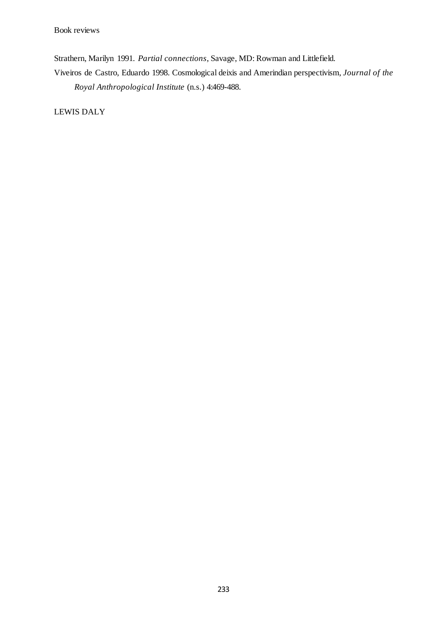Strathern, Marilyn 1991. *Partial connections*, Savage, MD: Rowman and Littlefield.

Viveiros de Castro, Eduardo 1998. Cosmological deixis and Amerindian perspectivism, *Journal of the Royal Anthropological Institute* (n.s.) 4:469-488.

LEWIS DALY